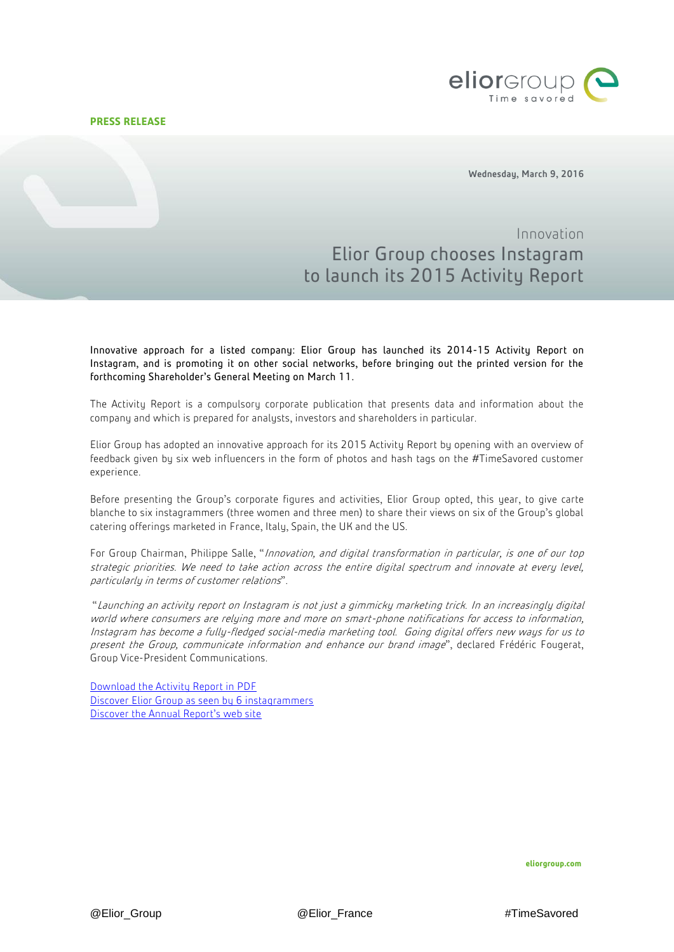## **PRESS RELEASE**



Wednesday, March 9, 2016

## Innovation Elior Group chooses Instagram to launch its 2015 Activity Report

Innovative approach for a listed company: Elior Group has launched its 2014-15 Activity Report on Instagram, and is promoting it on other social networks, before bringing out the printed version for the forthcoming Shareholder's General Meeting on March 11.

The Activity Report is a compulsory corporate publication that presents data and information about the company and which is prepared for analysts, investors and shareholders in particular.

Elior Group has adopted an innovative approach for its 2015 Activity Report by opening with an overview of feedback given by six web influencers in the form of photos and hash tags on the #TimeSavored customer experience.

Before presenting the Group's corporate figures and activities, Elior Group opted, this year, to give carte blanche to six instagrammers (three women and three men) to share their views on six of the Group's global catering offerings marketed in France, Italy, Spain, the UK and the US.

For Group Chairman, Philippe Salle, "Innovation, and digital transformation in particular, is one of our top strategic priorities. We need to take action across the entire digital spectrum and innovate at every level, particularly in terms of customer relations".

"Launching an activity report on Instagram is not just a gimmicky marketing trick. In an increasingly digital world where consumers are relying more and more on smart-phone notifications for access to information, Instagram has become a fully-fledged social-media marketing tool. Going digital offers new ways for us to present the Group, communicate information and enhance our brand image", declared Frédéric Fougerat, Group Vice-President Communications.

[Download the Activity Report in PDF](http://www.eliorgroup.com/sites/default/files/2014-15-elior-group-activity-report-en.pdf) [Discover Elior Group](http://activity-report-1415.eliorgroup.com/en/time-savored/) as seen by 6 instagrammers [Discover the Annual Report's web site](http://activity-report-1415.eliorgroup.com/en/time-savored/)

**eliorgroup.com**